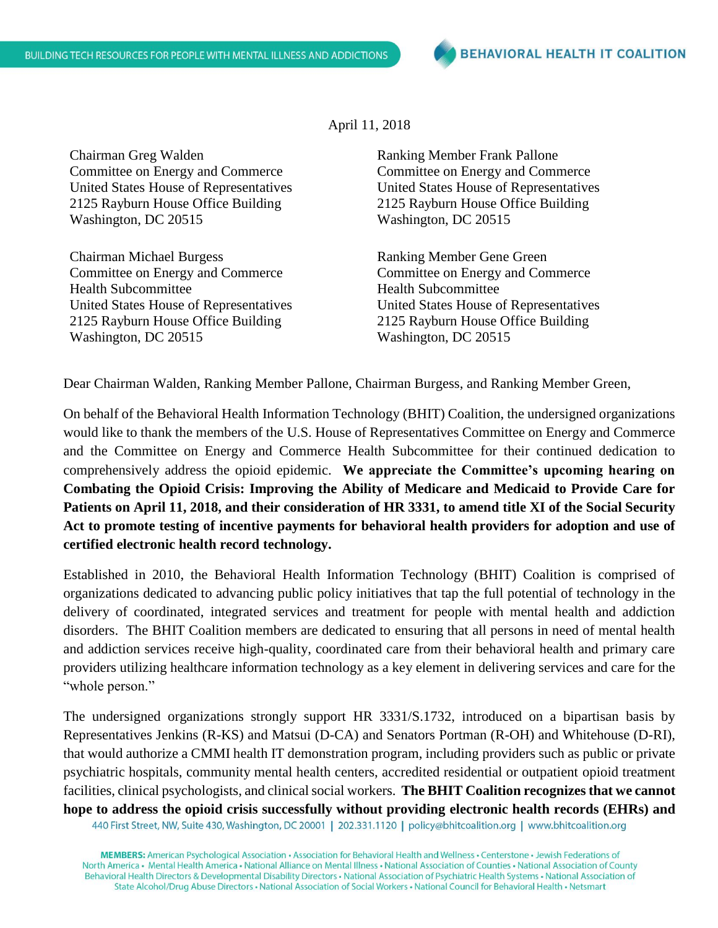Chairman Greg Walden Committee on Energy and Commerce United States House of Representatives 2125 Rayburn House Office Building Washington, DC 20515

Chairman Michael Burgess Committee on Energy and Commerce Health Subcommittee United States House of Representatives 2125 Rayburn House Office Building Washington, DC 20515

## April 11, 2018

Ranking Member Frank Pallone Committee on Energy and Commerce United States House of Representatives 2125 Rayburn House Office Building Washington, DC 20515

Ranking Member Gene Green Committee on Energy and Commerce Health Subcommittee United States House of Representatives 2125 Rayburn House Office Building Washington, DC 20515

Dear Chairman Walden, Ranking Member Pallone, Chairman Burgess, and Ranking Member Green,

On behalf of the Behavioral Health Information Technology (BHIT) Coalition, the undersigned organizations would like to thank the members of the U.S. House of Representatives Committee on Energy and Commerce and the Committee on Energy and Commerce Health Subcommittee for their continued dedication to comprehensively address the opioid epidemic. **We appreciate the Committee's upcoming hearing on Combating the Opioid Crisis: Improving the Ability of Medicare and Medicaid to Provide Care for Patients on April 11, 2018, and their consideration of HR 3331, to amend title XI of the Social Security Act to promote testing of incentive payments for behavioral health providers for adoption and use of certified electronic health record technology.**

Established in 2010, the Behavioral Health Information Technology (BHIT) Coalition is comprised of organizations dedicated to advancing public policy initiatives that tap the full potential of technology in the delivery of coordinated, integrated services and treatment for people with mental health and addiction disorders. The BHIT Coalition members are dedicated to ensuring that all persons in need of mental health and addiction services receive high-quality, coordinated care from their behavioral health and primary care providers utilizing healthcare information technology as a key element in delivering services and care for the "whole person."

The undersigned organizations strongly support HR 3331/S.1732, introduced on a bipartisan basis by Representatives Jenkins (R-KS) and Matsui (D-CA) and Senators Portman (R-OH) and Whitehouse (D-RI), that would authorize a CMMI health IT demonstration program, including providers such as public or private psychiatric hospitals, community mental health centers, accredited residential or outpatient opioid treatment facilities, clinical psychologists, and clinical social workers. **The BHIT Coalition recognizes that we cannot hope to address the opioid crisis successfully without providing electronic health records (EHRs) and** 

440 First Street, NW, Suite 430, Washington, DC 20001 | 202.331.1120 | policy@bhitcoalition.org | www.bhitcoalition.org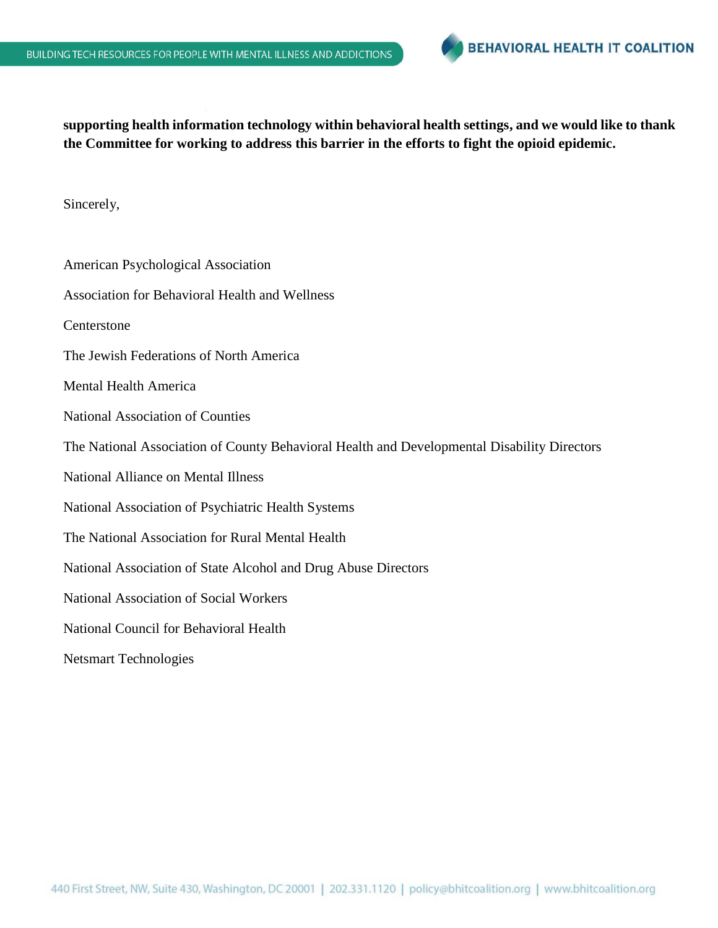

**supporting health information technology within behavioral health settings, and we would like to thank the Committee for working to address this barrier in the efforts to fight the opioid epidemic.**

Sincerely,

American Psychological Association Association for Behavioral Health and Wellness Centerstone The Jewish Federations of North America Mental Health America National Association of Counties The National Association of County Behavioral Health and Developmental Disability Directors National Alliance on Mental Illness National Association of Psychiatric Health Systems The National Association for Rural Mental Health National Association of State Alcohol and Drug Abuse Directors National Association of Social Workers National Council for Behavioral Health Netsmart Technologies